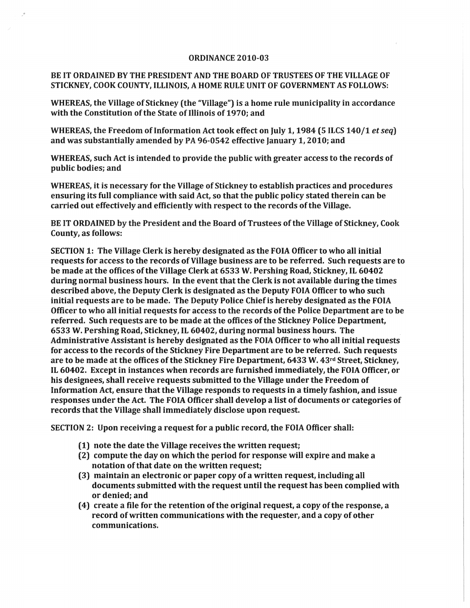## ORDINANCE 2010-03

## BE IT ORDAINED BY THE PRESIDENT AND THE BOARD OF TRUSTEES OF THE VILLAGE OF STICKNEY, COOK COUNTY, ILLINOIS, A HOME RULE UNIT OF GOVERNMENT AS FOLLOWS:

.'

WHEREAS, the Village of Stickney (the "Village") is a home rule municipality in accordance with the Constitution of the State of Illinois of 1970; and

WHEREAS, the Freedom of Information Act took effect on July 1, 1984 (5 ILCS 140/1 et seq) and was substantially amended by PA 96-0542 effective January 1, 2010; and

WHEREAS, such Act is intended to provide the public with greater access to the records of public bodies; and

WHEREAS, it is necessary for the Village of Stickney to establish practices and procedures ensuring its full compliance with said Act, so that the public policy stated therein can be carried out effectively and efficiently with respect to the records of the Village.

BE IT ORDAINED by the President and the Board of Trustees of the Village of Stickney, Cook County, as follows:

SECTION 1: The Village Clerk is hereby designated as the FOIA Officer to who all initial requests for access to the records of Village business are to be referred. Such requests are to be made at the offices ofthe Village Clerk at 6533 W. Pershing Road, Stickney, IL 60402 during normal business hours. In the event that the Clerk is not available during the times described above, the Deputy Clerk is designated as the Deputy FOIA Officer to who such initial requests are to be made. The Deputy Police Chief is hereby designated as the FOIA Officer to who all initial requests for access to the records of the Police Department are to be referred. Such requests are to be made at the offices of the Stickney Police Department, 6533 W. Pershing Road, Stickney, IL 60402, during normal business hours. The Administrative Assistant is hereby designated as the FOIA Officer to who all initial requests for access to the records of the Stickney Fire Department are to be referred. Such requests are to be made at the offices of the Stickney Fire Department, 6433 W. 43rd Street, Stickney, IL 60402. Except in instances when records are furnished immediately, the FOIA Officer, or his designees, shall receive requests submitted to the Village under the Freedom of Information Act, ensure that the Village responds to requests in a timely fashion, and issue responses under the Act. The FOIA Officer shall develop a list of documents or categories of records that the Village shall immediately disclose upon request.

SECTION 2: Upon receiving a request for a public record, the FOIA Officer shall:

- (1) note the date the Village receives the written request;
- (2) compute the day on which the period for response will expire and make a notation of that date on the written request;
- (3) maintain an electronic or paper copy of a written request, including all documents submitted with the request until the request has been complied with or denied; and
- (4) create a file for the retention of the original request, a copy of the response, a record of written communications with the requester, and a copy of other communications.